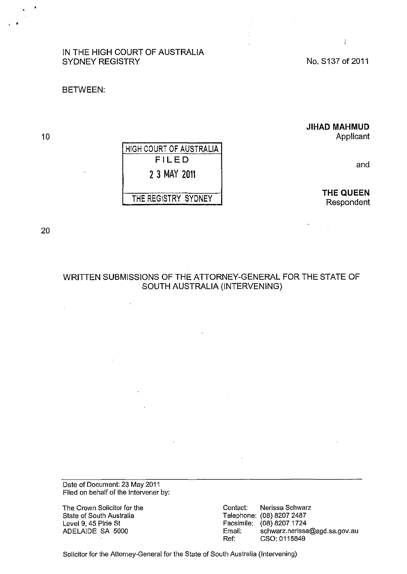# IN THE HIGH COURT OF AUSTRALIA SYDNEY REGISTRY

No. S137 of 2011

#### BETWEEN:

## **JIHAD MAHMUD**

Applicant

and

**THE QUEEN**  Respondent

HIGH COURT OF AUSTRALIA FILED 2 3 MAY 2011 THE REGISTRY SYDNEY

20

10

# WRITTEN SUBMISSIONS OF THE ATTORNEY-GENERAL FOR THE STATE OF SOUTH AUSTRALIA (INTERVENING)

Date of Document: 23 May 2011 Filed on behalf of the Intervener by:

The Crown Solicitor for the State of South Australia Level 9. 45 Pirie St ADELAIDE SA 5000

Contact: Nerissa Schwarz Telephone: (08) 8207 2487 Facsimile: (08) 8207 1724 Email: schwarz.nerissa@agd.sa.gov.au Ref: CSO: 0115849

Solicitor for the Attorney-General for the State of South Australia (Intervening)

 $\overline{1}$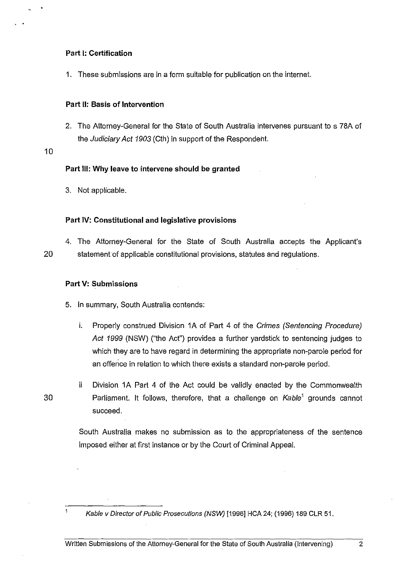## Part I: Certification

1. These submissions are in a form suitable for publication on the internet.

#### Part 11: Basis of Intervention

2. The Attorney-General for the State of South Australia intervenes pursuant to s 78A of the Judiciary Act 1903 (Cth) in support of the Respondent.

10

· .

#### Part Ill: Why leave to intervene should be granted

3. Not applicable.

#### Part IV: Constitutional and legislative provisions

4. The Attorney-General for the State of South Australia accepts the Applicant's 20 statement of applicable constitutional provisions, statutes and regulations.

### Part V: Submissions

- 5. In summary, South Australia contends:
	- i. Properly construed Division 1A of Part 4 of the Crimes (Sentencing Procedure) Act 1999 (NSW) ("the Act") provides a further yardstick to sentencing judges to which they are to have regard in determining the appropriate non-parole period for an offence in relation to which there exists a standard non-parole period.
- ii Division 1A Part 4 of the Act could be validly enacted by the Commonwealth 30 **Parliament.** It follows, therefore, that a challenge on  $Kable<sup>1</sup>$  grounds cannot succeed.

South Australia makes no submission as to the appropriateness of the sentence imposed either at first instance or by the Court of Criminal Appeal.

 $\mathbf{1}$ 

Kable v Director of Public Prosecutions (NSW) [1996] HCA 24; (1996) 189 CLR 51.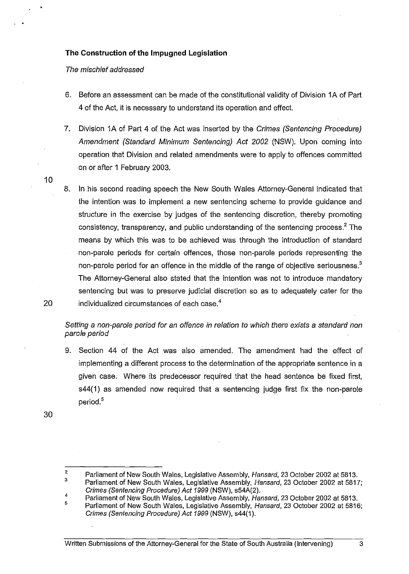## **The Construction of the Impugned Legislation**

The mischief addressed

· .

- 6. Before an assessment can be made of the constitutional validity of Division 1 A of Part 4 of the Act, it is necessary to understand its operation and effect
- 7. Division 1A of Part 4 of the Act was inserted by the Crimes (Sentencing Procedure) Amendment (Standard Minimum Sentencing) Act 2002 (NSW). Upon coming into operation that Division and related amendments were to apply to offences committed on or after 1 February 2003.
- 8. In his second reading speech the New South Wales Attorney-General indicated that the intention was to implernent a new sentencing scheme to provide guidance and structure in the exercise by judges of the sentencing discretion, thereby promoting consistency, transparency, and public understanding of the sentencing process.<sup>2</sup> The rneans by which this was to be achieved was through the introduction of standard non-parole periods for certain offences, those non-parole periods representing the non-parole period for an offence in the middle of the range of objective seriousness.<sup>3</sup> The Attorney-General also stated that the intention was not to introduce mandatory sentencing but was to preserve judicial discretion so as to adequately cater for the 20 individualized circumstances of each case.<sup>4</sup>

Setting a non-parole period for an offence in relation to which there exists a standard non parole period

9. Section 44 of the Act was also amended. The amendment had the effect of implementing a different process to the determination of the appropriate sentence in a given case. Where its predecessor required that the head sentence be fixed first, s44(1) as amended now required that a sentencing judge first fix the non-parole period.<sup>5</sup>

30

<sup>2</sup>  3 Parliament of New South Wales, Legislative Assembly, Hansard, 23 October 2002 at 5813. Parliament of New South Wales, Legislative Assembly, Hansard, 23 October 2002 at 5817;

Crimes (Sentencing Procedure) Act 1999 (NSW), s54A(2).

<sup>4</sup>  Parliament of New South Wales, Legislative Assembly, Hansard, 23 October 2002 at 5813.

<sup>5</sup>  Parliament of New South Wales, Legislative Assembly, Hansard, 23 October 2002 at 5816; Crimes (Sentencing Procedure) Act 1999 (NSW), s44(1).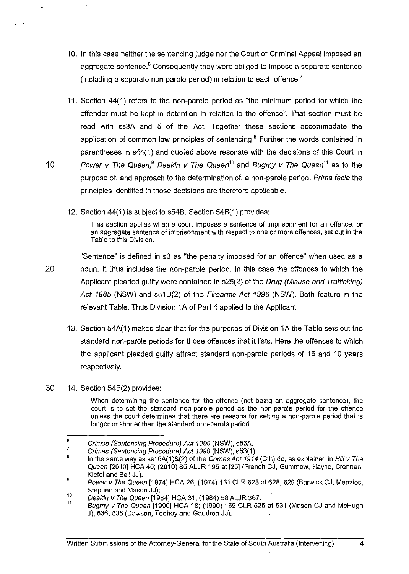- 10. In this case neither the sentencing judge nor the Court of Criminal Appeal imposed an aggregate sentence. $6$  Consequently they were obliged to impose a separate sentence (including a separate non-parole period) in relation to each offence.<sup>7</sup>
- 11. Section 44(1) refers to the non-parole period as "the minimum period for which the offender must be kept in detention in relation to the offence". That section must be read with ss3A and 5 of the Act Together these sections accommodate the application of common law principles of sentencing. $<sup>8</sup>$  Further the words contained in</sup> parentheses in s44(1) and quoted above resonate with the decisions of this Court in 10 Power v The Queen,<sup>9</sup> Deakin v The Queen<sup>10</sup> and Bugmy v The Queen<sup>11</sup> as to the purpose of, and approach to the determination of, a non-parole period. Prima facie the principles identified in those decisions are therefore applicable.
	- 12. Section 44(1) is subject to s54B. Section 54B(1) provides:

This section applies when a court imposes a sentence of imprisonment for an offence, or an aggregate sentence of imprisonment with respect to one or more offences, set out in the Table to this Division.

"Sentence" is defined in s3 as "the penalty imposed for an offence" when used as a 20 noun. It thus inciudes the non-parole period. In this case the offences to which the Applicant pleaded guilty were contained in s25(2) of the Drug (Misuse and Trafficking) Act 1985 (NSW) and s51D(2) of the Firearms Act 1996 (NSW). Both feature in the relevant Table. Thus Division 1A of Part 4 applied to the Applicant

- 13. Section 54A(1) makes clear that for the purposes of Division 1A the Table sets out the standard non-parole periods for those offences that it lists. Here the offences to which the applicant pleaded guilty attract standard non-parole periods of 15 and 10 years respectively.
- 30 14. Section 54B(2) provides:

· .

When determining the sentence for the offence (not being an aggregate sentence), the court is to set the standard non-parole period as the non-parole period for the offence unless the court determines that there are reasons for setting a non-parole period that is longer or shorter than the standard non-parole period.

<sup>6</sup>  7 Crimes (Sentencing Procedure) Act 1999 (NSW), s53A

Crimes (Sentencing Procedure) Act 1999 (NSW), s53(1).

<sup>8</sup>  In the same way as ss16A(1)&(2) of the Crimes Act 1914 (Cth) do, as explained in Hili v The Queen [2010] HCA 45; (2010) 85 ALJR 195 at [25] (French CJ, Gummow, Hayne, Crennan, Kiefel and Bell JJ).

<sup>9</sup>  Power v The Queen [1974] HCA 26; (1974) 131 CLR 623 at 628, 629 (Barwick CJ, Menzies, Stephen and Mason JJ);

<sup>10</sup>  Deakin v The Queen [1984] HCA 31; (1984) 58 ALJR 367.

<sup>11</sup>  Bugmy v The Queen [1990] HCA 18; (1990) 169 CLR 525 at 531 (Mason CJ and McHugh J), 536, 538 (Dawson, Toohey and Gaudron JJ).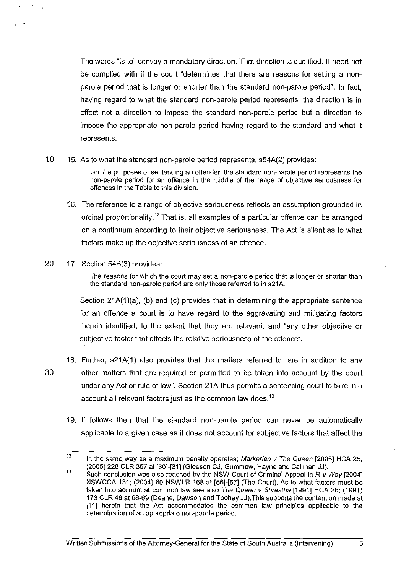The words "is to" convey a mandatory direction. That direction is qualified. It need not be complied with if the court "determines that there are reasons for setting a nonparole period that is longer or shorter than the standard non-parole period". In fact, having regard to what the standard non-parole period represents, the direction is in effect not a direction to impose the standard non-parole period but a direction to impose the appropriate non-parole period having regard to the standard and what it represents.

10 15. As to what the standard non-parole period represents, s54A(2) provides:

For the purposes of sentencing an offender, the standard non-parole period represents the non-parole period for an offence in the middle of the range of objective seriousness for offences in the Table to this division.

- 16. The reference to a range of objective seriousness reflects an assumption grounded in ordinal proportionality.<sup>12</sup> That is, all examples of a particular offence can be arranged on a continuum according to their objective seriousness. The Act is silent as to what factors make up the objective seriousness of an offence.
- 20 17. Section 54B(3) provides:

The reasons for which the court may set a non-parole period that is longer or shorter than the standard non-parole period are only those referred to in s21A.

Section 21A(1)(a), (b) and (c) provides that in determining the appropriate sentence for an offence a court is to have regard to the aggravating and mitigating factors therein identified, to the extent that they are relevant, and "any other objective or subjective factor that affects the relative seriousness of the offence".

- 18. Further, s21A(1) also provides that the matters referred to "are in addition to any 30 other matters that are required or permitted to be taken into account by the court under any Act or rule of law". Section 21A thus permits a sentencing court to take into account all relevant factors just as the common law does.<sup>13</sup>
	- 19. It follows then that the standard non-parole period can never be automatically applicable to a given case as it does not account for subjective factors that affect the

<sup>12</sup>  13 In the same way as a maximum penalty operates; Markarian v The Queen [2005] HCA 25; (2005) 228 CLR 357 at [30]-[31] (Gleeson CJ, Gummow, Hayne and Callinan JJ).

Such conclusion was also reached by the NSW Court of Criminal Appeal in R *v* Way [2004] NSWCCA 131; (2004) 60 NSWLR 168 at [56]-[57] (The Court). As to what factors must be taken into account at common law see also The Queen v Shrestha [1991] HCA 26; (1991) 173 CLR 48 at 68-69 (Deane, Dawson and Toohey JJ).This supports the contention made at [11] herein that the Act accommodates the common law principles applicable to the determination of an appropriate non-parole period.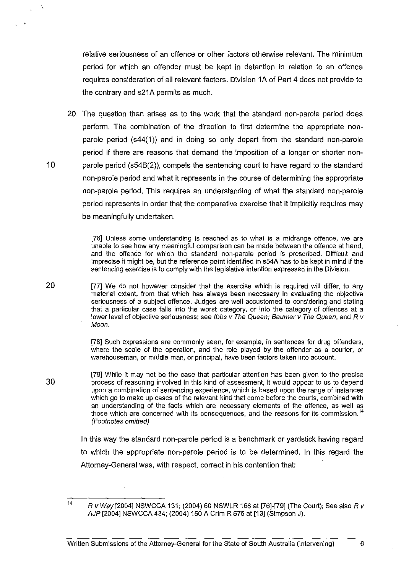relative seriousness of an offence or other factors otherwise relevant. The minimum period for which an offender must be kept in detention in relation to an offence requires consideration of all relevant factors. Division 1A of Part 4 does not provide to the contrary and s21A permits as much.

20. The question then arises as to the work that the standard non-parole period does perform. The combination of the direction to first determine the appropriate nonparole period (s44( 1)) and in doing so only depart from the standard non-parole period if there are reasons that demand the imposition of a longer or shorter non-10 parole period (s54B(2)), compels the sentencing court to have regard to the standard non-parole period and what it represents in the course of determining the appropriate non-parole period. This requires an understanding of what the standard non-parole period represents in order that the comparative exercise that it implicitly requires may be meaningfully undertaken.

> [76] Unless some understanding is reached as to what is a midrange offence, we are unable to see how any meaningful comparison can be made between the offence at hand, and the offence for which the standard non-parole period is prescribed. Difficult and imprecise it might be, but the reference point identified in s54A has to be kept in mind if the sentencing exercise is to comply with the legislative intention expressed in the Division.

20 [77] We do not however consider that the exercise which is required will differ, to any material extent, from that which has always been necessary in evaluating the objective seriousness of a subject offence. Judges are well accustomed to considering and stating that a particular case falls into the worst category, or into the category of offences at a lower level of objective seriousness: see Ibbs v The Queen; Baumer v The Queen, and R v Moon.

> [78] Such expressions are commonly seen, for example, in sentences for drug offenders, where the scale of the operation, and the role played by the offender as a courier, or warehouseman, or middle man, or principal, have been factors taken into account.

[79] While it may not be the case that particular attention has been given to the precise process of reasoning involved in this kind of assessment, it would appear to us to depend upon a combination of sentencing experience, which is based upon the range of instances which go to make up cases of the relevant kind that come before the courts, combined with an understanding of the facts which are necessary elements of the offence, as well as those which are concerned with its consequences, and the reasons for its commission.<sup>14</sup> (Footnotes omitted)

In this way the standard non-parole period is a benchmark or yardstick having regard to which the appropriate non-parole period is to be determined. In this regard the Attorney-General was, with respect, correct in his contention that:

<sup>14</sup> 

R *v* Way [2004] NSWCCA 131; (2004) 60 NSWLR 168 at [76]-[79] (The Court); See also R *v*  AJP [2004] NSWCCA 434; (2004) 150 A Crim R 575 at [13] (Simpson J).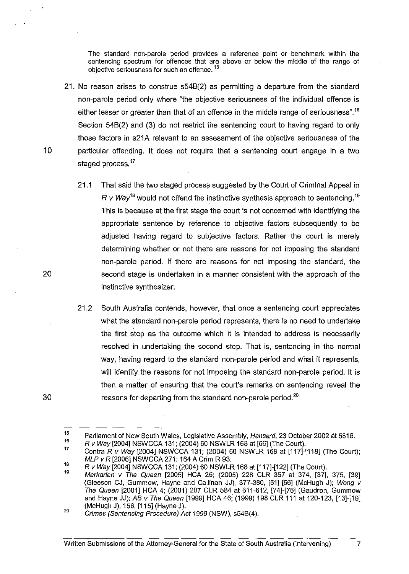The standard non-parole period provides a reference point or benchmark within the sentencing spectrum for offences that are above or below the middle of the range of objective seriousness for such an offence.<sup>15</sup>

- 21. No reason arises to construe s54B(2) as permitting a departure from the standard non-parole period only where "the objective seriousness of the individual offence is either lesser or greater than that of an offence in the middle range of seriousness".<sup>16</sup> Section 54B(2) and (3) do not restrict the sentencing court to having regard to only those factors in s21A relevant to an assessment of the objective seriousness of the 10 particular offending. It does not require that a sentencing court engage in a two staged process.<sup>17</sup>
	- 21.1 That said the two staged process suggested by the Court of Criminal Appeal in *R v Wav*<sup>18</sup> would not offend the instinctive synthesis approach to sentencing.<sup>19</sup> This is because at the first stage the court is not concerned with identifying the appropriate sentence by reference to objective factors subsequently to be adjusted having regard to subjective factors. Rather the court is merely determining whether or not there are reasons for not imposing the standard non-parole period. If there are reasons for not imposing the standard, the second stage is undertaken in a manner consistent with the approach of the instinctive synthesizer.
	- 21.2 South Australia contends, however, that once a sentencing court appreciates what the standard non-parole period represents, there is no need to undertake the first step as the outcome which it is intended to address is necessarily resolved in undertaking the second step. That is, sentencing in the normal way, having regard to the standard non-parole period and what it represents, will identify the reasons for not imposing the standard non-parole period. It is then a matter of ensuring that the court's remarks on sentencing reveal the reasons for departing from the standard non-parole period.<sup>20</sup>

Rv Way [2004] NSWCCA 131; (2004) 60 NSWLR 168 at [66] (The Court).

30

<sup>15</sup>  16 Parliament of New South Wales, Legislative Assembly, Hansard, 23 October 2002 at 5816.

<sup>17</sup>  18 Contra R v Way [2004] NSWCCA 131; (2004) 60 NSWLR 168 at [117]-[118] (The Court); MLP v R [2006] NSWCCA 271; 164 A Crim R 93.

R v Way [2004] NSWCCA 131; (2004) 60 NSWLR 168 at [117]-[122] (The Court).

<sup>19</sup>  Markarian *v* The Queen [2005] HCA 25; (2005) 228 CLR 357 at 374, [37], 375, [39] (Gleeson CJ, Gummow, Hayne and Caliinan JJ), 377-380, [51]-[56] (McHugh J); Wong v The Queen [2001] HCA 4; (2001) 207 CLR 584 at 611-612, [74]-[76] (Gaudron, Gummow and Hayne JJ); AB v The Queen [1999] HCA 46; (1999) 198 CLR 111 at 120-123, [13]-[19] (McHugh J), 156, [115] (Hayne J).

<sup>20</sup>  Crimes (Sentencing Procedure) Act 1999 (NSW), s54B(4).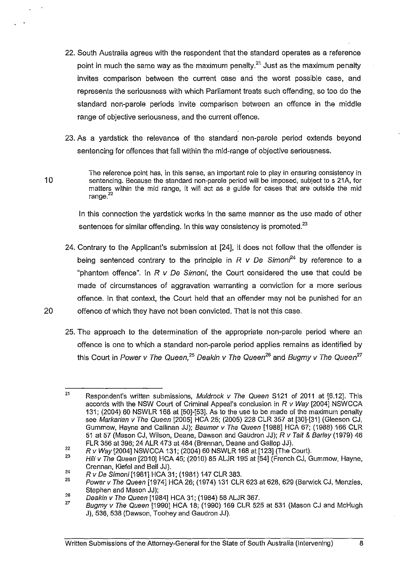- 22. South Australia agrees with the respondent that the standard operates as a reference point in much the same way as the maximum penalty.<sup>21</sup> Just as the maximum penalty invites comparison between the current case and the worst possible case, and represents the seriousness with which Parliament treats such offending, so too do the standard non-parole periods invite comparison between an offence in the middle range of objective seriousness, and the current offence.
- 23. As a yardstick the relevance of the standard non-parole period extends beyond sentencing for offences that fall within the mid-range of objective seriousness.

The reference point has, in this sense, an important role to play in ensuring consistency in sentencing. Because the standard non-parole period will be imposed, subject to s 21A, for matters within the mid range, it will act as a guide for cases that are outside the mid range.<sup>22</sup>

In this connection the yardstick works in the same manner as the use made of other sentences for similar offending. In this way consistency is promoted.<sup>23</sup>

- 24. Contrary to the Applicant's submission at [24], it does not follow that the offender is being sentenced contrary to the principle in  $R$   $v$  De Simoni<sup>24</sup> by reference to a "phantom offence". In *R v* De Simoni, the Court considered the use that could be made of circumstances of aggravation warranting a conviction for a more serious offence. In that context, the Court held that an offender may not be punished for an 20 offence of which they have not been convicted. That is not this case.
	- 25. The approach to the determination of the appropriate non-parole period where an offence is one to which a standard non-parole period applies remains as identified by this Court in Power *v* The Queen,<sup>25</sup> Deakin *v* The Queen<sup>26</sup> and Bugmy *v* The Queen<sup>27</sup>

<sup>21</sup>  Respondent's written submissions, Muldrock *v* The Queen S121 of 2011 at [6.12]. This accords with the NSW Court of Criminal Appeal's conclusion in *R v* Way [2004] NSWCCA 131; (2004) 60 NSWLR 168 at [50]-[53]. As to the use to be made of the maximum penalty see Markarian *v* The Queen [2005] HCA 25; (2005) 228 CLR 357 at [30]-[31] (Gleeson CJ, Gummow, Hayne and Callinan JJ); Baumer *v* The Queen [1988] HCA 67; (1988) 166 CLR 51 at 57 (Mason CJ, Wilson, Deane, Dawson and Gaudron JJ); *R v* Tail & Barley (1979) 46 FLR 356 at 398; 24 ALR 473 at 484 (Brennan, Deane and Gallop JJ).

<sup>22</sup>  Rv Way [2004] NSWCCA 131; (2004) 60 NSWLR 168 at [123] (The Court).

<sup>23</sup>  Hili v The Queen [2010] HCA 45; (2010) 85 ALJR 195 at [54] (French CJ, Gummow, Hayne, Crennan, Kiefel and Bell JJ).

<sup>24</sup>  R v De Simoni [1981] HCA 31; (1981) 147 CLR 383.

<sup>25</sup>  Power v The Queen [1974] HCA 26; (1974) 131 CLR 623 at 628, 629 (Barwick CJ, Menzies, Stephen and Mason JJ);

<sup>26</sup>  Deakin v The Queen [1984] HCA 31; (1984) 58 ALJR 367.

<sup>27</sup>  Bugmy v The Queen [1990] HCA 18; (1990) 169 CLR 525 at 531 (Mason CJ and McHugh J), 536, 538 (Dawson, Toohey and Gaudron JJ).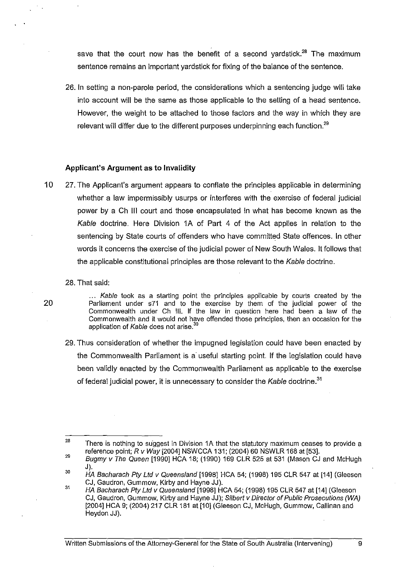save that the court now has the benefit of a second vardstick.<sup>28</sup> The maximum sentence remains an important yardstick for fixing of the balance of the sentence.

26. In setting a non-parole period, the considerations which a sentencing judge will take into account will be the same as those applicable to the setting of a head sentence. However, the weight to be attached to those factors and the way in which they are relevant will differ due to the different purposes underpinning each function.<sup>29</sup>

#### **Applicant's Argument as to Invalidity**

- 10 27. The Applicant's argument appears to conflate the principles applicable in determining whether a law impermissibly usurps or interferes with the exercise of federal judicial power by a Ch III court and those encapsulated in what has become known as the Kable doctrine. Here Division 1A of Part 4 of the Act applies in relation to the sentencing by State courts of offenders who have committed State offences. In other words it concerns the exercise of the judicial power of New South Wales. It follows that the applicable constitutional principles are those relevant to the Kable doctrine.
	- 28. That said:

20

... Kable took as a starting point the principles applicable by courts created by the Parliament under s71 and to the exercise by them of the judicial power of the Commonwealth under Ch Ill. If the law in question here had been a law of the Commonwealth and it would not have offended those principles, then an occasion for the application of Kable does not arise.<sup>30</sup>

29. Thus consideration of whether the impugned legislation could have been enacted by the Commonwealth Parliament is a useful starting point. If the legislation could have been validly enacted by the Commonwealth Parliament as applicable to the exercise of federal judicial power, it is unnecessary to consider the Kable doctrine.<sup>31</sup>

29 30 Bugmy v The Queen [1990] HCA 18; (1990) 169 CLR 525 at 531 (Mason CJ and McHugh J).

<sup>28</sup>  There is nothing to suggest in Division 1A that the statutory maximum ceases to provide a reference point; R *v* Way [2004] NSWCCA 131; (2004) 60 NSWLR 168 at [53].

HA Bacharach Pty Ltd v Queensland [1998] HCA 54; (1998) 195 CLR 547 at [14] (Gleeson CJ, Gaudron, Gummow, Kirby and Hayne JJ).

<sup>31</sup>  HA Bacharach Pty Ltd v Queensland [1998] HCA 54; (1998) 195 CLR 547 at [14] (Gleeson CJ, Gaudron, Gummow, Kirby and Hayne JJ); Silbert v Director of Public Prosecutions (WA) [2004] HCA 9; (2004) 217 CLR 181 at [10] (Gleeson CJ, McHugh, Gummow, Callinan and Heydon JJ).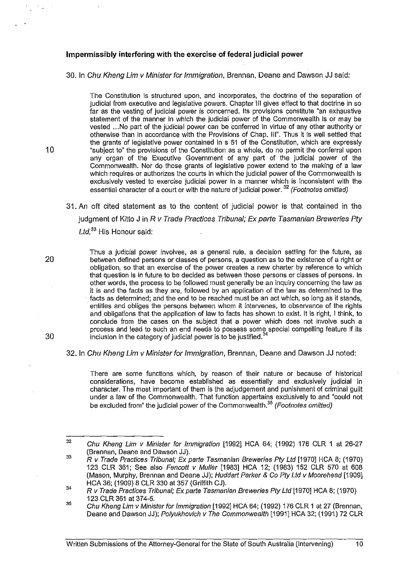#### **Impermissibly interfering with the exercise of federal judicial power**

30. **In** Chu Kheng Um v Minister for Immigration, Brennan, Deane and Dawson JJ said:

The Constitution is structured upon, and incorporates, the doctrine of the separation of judicial from executive and legislative powers. Chapter III gives effect to that doctrine in so far as the vesting of judicial power is concerned. Its provisions constitute "an exhaustive statement of the manner in which the judicial power of the Commonwealth is or may be vested ... No part of the judicial power can be conferred in virtue of any other authority or otherwise than in accordance with the Provisions of Chap. Ill". Thus it is well settled that the grants of legislative power contained in s 51 of the Constitution, which are expressly "subject to" the provisions of the Constitution as a whole, do no permit the conferral upon any organ of the Executive Government of any part of the judicial power of the Commonwealth. Nor do those grants of legislative power extend to the making of a law which requires or authorizes the courts in which the judicial power of the Commonwealth is exclusively vested to exercise judicial power in a manner which is inconsistent with the essential character of a court or with the nature of judicial power. <sup>34</sup> (Footnotes omitted)

31. An oft cited statement as to the content of judicial power is that contained in the judgment of Kitto J in  $R$  v Trade Practices Tribunal; Ex parte Tasmanian Breweries Pty Ltd.<sup>33</sup> His Honour said:

Thus a judicial power involves, as a general rule, a decision settling for the future, as 20 between defined persons or classes of persons, a question as to the existence of a right or obligation, so that an exercise of the power creates a new charter by reference to which that question is in future to be decided as between those persons or classes of persons. In other words, the process to be followed must generally be an inquiry concerning the law as it is and the facts as they are, followed by an application of the law as determined to the facts as determined; and the end to be reached must be an act which, so long as it stands, entitles and obliges the persons between whom it intervenes, to observance of the rights and obligations that the application of law to facts has shown to exist. It is right, I think, to conclude from the cases on the subject that a power which does not involve such a process and lead to such an end needs to possess some special compelling feature if its  $30$  inclusion in the category of judicial power is to be justified.<sup>34</sup>

32. **In** Chu Kheng Um v Minister for Immigration, Brennan, Deane and Dawson JJ noted:

There are some functions which, by reason of their nature or because of historical considerations, have become established as essentially and exclusively judicial in character. The most important of them is the adjudgement and punishment of criminal guilt under a law of the Commonwealth. That function appertains exclusively to and "could not be excluded from" the judicial power of the Commonwealth.<sup>35</sup> (Footnotes omitted)

<sup>32</sup>  Chu Kheng Um v Minister for Immigration [1992] HCA 64; (1992) 176 CLR 1 at 26-27 (Brennan, Deane and Dawson JJ).

<sup>33</sup>  R v Trade Practices Tribunal; Ex parte Tasmanian Breweries Pty Lld [1970] HCA 8; (1970) 123 CLR 361; See also Fencott v Muller [1983] HCA 12; (1983) 152 CLR 570 at 608 (Mason, Murphy, Brennan and Deane JJ); Huddart Parker & Co Pty Lld v Moorehead [1909] HCA 36; (1909) 8 CLR 330 at 357 (Griffith CJ).

<sup>34</sup>  R v Trade Practices Tribunal; Ex parte Tasmanian Breweries Pty Lld [1970] HCA 8; (1970) 123 CLR 361 at 374-5.

<sup>35</sup>  Chu Kheng Lim v Minister for Immigration [1992] HCA 64; (1992) 176 CLR 1 at 27 (Brennan, Deane and Dawson JJ); Polyukhovich v The Commonwealth [1991] HCA 32; (1991) 72 CLR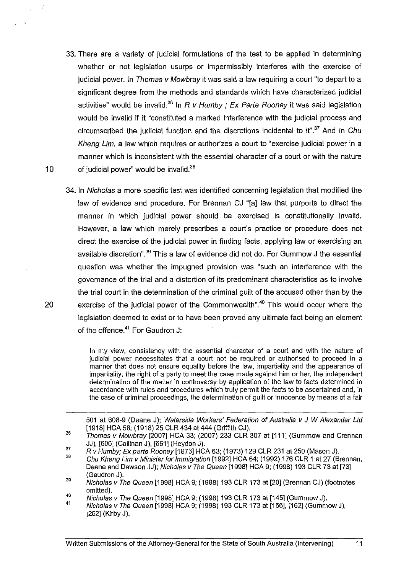- 33. There are a variety of judicial formulations of the test to be applied in determining whether or not legislation usurps or impermissibly interferes with the exercise of judicial power. In Thomas v Mowbray it was said a law requiring a court "to depart to a significant degree from the methods and standards which have characterized judicial activities" would be invalid.<sup>36</sup> In R v Humby ; Ex Parte Rooney it was said legislation would be invalid if it "constituted a marked interference with the judicial process and circumscribed the judicial function and the discretions incidental to it". $37$  And in Chu Kheng Lim, a law which requires or authorizes a court to "exercise judicial power in a manner which is inconsistent with the essential character of a court or with the nature 10 of judicial power" would be invalid. $38$
- 34. In Nicholas a more specific test was identified concerning legislation that modified the law of evidence and procedure. For Brennan CJ "[a] law that purports to direct the manner in which judicial power should be exercised is constitutionally invalid. However, a law which merely prescribes a court's practice or procedure does not direct the exercise of the judicial power in finding facts, applying law or exercising an available discretion".<sup>39</sup> This a law of evidence did not do. For Gummow J the essential question was whether the impugned provision was "such an interference with the govemance of the trial and a distortion of its predominant characteristics as to involve the trial court in the determination of the criminal guilt of the accused other than by the 20 exercise of the judicial power of the Commonwealth".<sup>40</sup> This would occur where the legislation deemed to exist or to have been proved any ultimate fact being an element of the offence.<sup>41</sup> For Gaudron J:

In my view, consistency with the essential character of a court and with the nature of judicial power necessitates that a court not be required or authorised to proceed in a manner that does not ensure equality before the law, impartiality and the appearance of impartiality, the right of a party to meet the case made against him or her, the independent determination of the matter in controversy by application of the law to facts determined in accordance with rules and procedures which truly permit the facts to be ascertained and, in the case of criminal proceedings, the determination of guilt or innocence by means of a fair

501 at 608-9 (Deane J); Waterside Workers' Federation of Australia v J W Alexander Ltd [1918] HCA 56; (1918) 25 CLR 434 at 444 (Griffith CJ).

41 Nicho/as v The Queen [1998] HCA 9; (1998) 193 CLR 173 at [156], [162] (Gummow J), [252] (Kirby J).

<sup>36</sup>  Thomas v Mowbray [2007] HCA 33; (2007) 233 CLR 307 at [111] (Gummow and Crennan JJ), [600] (Callinan J), [651] (Heydon J).

<sup>37</sup>  Rv Humby; Ex parte Rooney [1973] HCA 63; (1973) 129 CLR 231 at 250 (Mason J).

<sup>36</sup>  Chu Kheng Lim v Minister for Immigration [1992] HCA 64; (1992) 176 CLR 1 at 27 (Brennan, Deane and Dawson JJ); Nicholas v The Queen [1998] HCA 9; (1998) 193 CLR 73 at [73] (Gaudron J).

<sup>39</sup>  40 Nicholas v The Queen [1998] HCA 9; (1998) 193 CLR 173 at [20] (Brennan CJ) (footnotes omitted).

Nicholas v The Queen [1998] HCA 9; (1998) 193 CLR 173 at [145] (Gummow J).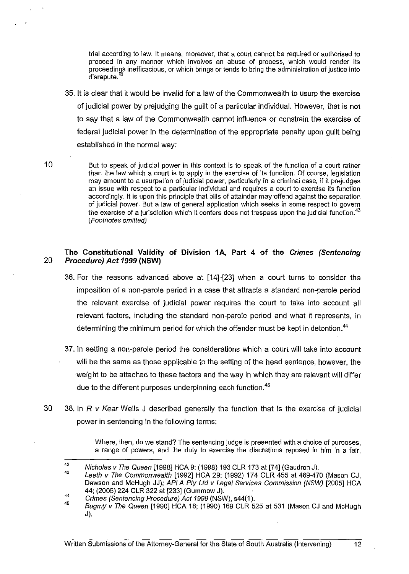trial according to law. It means, moreover, that a court cannot be required or authorised to proceed in any manner which involves an abuse of process, which would render its proceedings inefficacious, or which brings or tends to bring the administration of justice into disrepute.

- 35. It is clear that it would be invalid for a law of the Commonwealth to usurp the exercise of judicial power by prejudging the guilt of a particular individual. However, that is not to say that a law of the Commonwealth cannot influence or constrain the exercise of federal judicial power in the determination of the appropriate penalty upon guilt being established in the normal way:
- 10 But to speak of judicial power in this context is to speak of the function of a court rather than the law which a court is to apply in the exercise of its function. Of course, legislation may amount to a usurpation of judicial power, particularly in a criminal case, if it prejudges an issue with respect to a particular individual and requires a court to exercise its function accordingly. It is upon this principle that bills of attainder may offend against the separation of judicial power. But a law of general application which seeks in some respect to govern the exercise of a jurisdiction which it confers does not trespass upon the judicial function.<sup>43</sup> (Footnotes omitted)

#### The Constitutional Validity of Division 1A, Part 4 of the *Crimes (Sentencing 20 Procedure) Act* 1999 (NSW)

- 36. For the reasons advanced above at [14]-[23] when a court turns to consider the irnposition of a non-parole period in a case that attracts a standard non-parole period the relevant exercise of judicial power requires the court to take into account all relevant factors, including the standard non-parole period and what it represents, in determining the minimum period for which the offender must be kept in detention.<sup>44</sup>
- 37. In setting a non-parole period the considerations which a court will take into account will be the same as those applicable to the setting of the head sentence, however, the weight to be attached to these factors and the way in which they are relevant will differ due to the different purposes underpinning each function.<sup>45</sup>
- 30 38. In R v Kear Wells J described generally the function that is the exercise of judicial power in sentencing in the following terms:

Where, then, do we stand? The sentencing judge is presented with a choice of purposes, a range of powers, and the duty to exercise the discretions reposed in him in a fair,

<sup>42</sup>  Nicholas v The Queen [1998] HCA 9; (1998) 193 CLR 173 at [74] (Gaudron J).

<sup>43</sup>  44 Leeth v The Commonwealth [1992] HCA 29; (1992) 174 CLR 455 at 469-470 (Mason CJ, Dawson and McHugh JJ); APLA Pty Ltd v Legal Services Commission (NSW) [2005] HCA 44; (2005) 224 CLR 322 at [233] (Gummow J).

Crimes (Sentencing Procedure) Act 1999 (NSW), s44(1).

<sup>45</sup>  Bugmy v The Queen [1990] HCA 18; (1990) 169 CLR 525 at 531 (Mason CJ and McHugh J).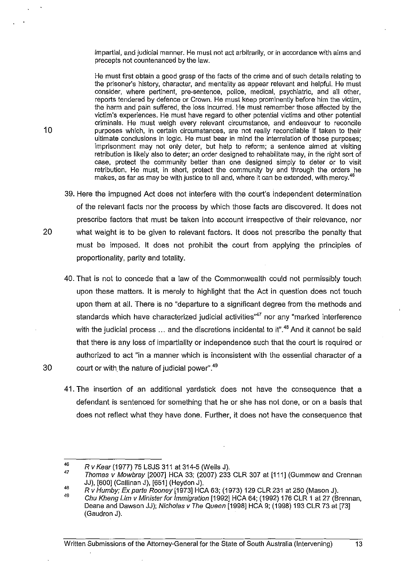impartial, and judicial manner. He must not act arbitrarily, or in accordance with aims and precepts not countenanced by the law.

He must first obtain a good grasp of the facts of the crime and of such details relating to the prisoner's history, character, and mentality as appear relevant and helpful. He must consider, where pertinent, pre-sentence, police, medical, psychiatric, and all other, reports tendered by defence or Crown. He must keep prominently before him the victim, the harm and pain suffered, the loss incurred. He must remember those affected by the victim's experiences. He must have regard to other potential victims and other potential criminals. He must weigh every relevant circumstance, and endeavour to reconcile purposes which, in certain circumstances, are not really reconcilable if taken to their ultimate conclusions in logic. He must bear in mind the interrelation of those purposes; imprisonment may not only deter, but help to reform; a sentence aimed at visiting retribution is likely also to deter; an order designed to rehabilitate may, in the right sort of case, protect the community better than one designed simply to deter or to visit retribution. He must, in short, protect the community by and through the orders he makes, as far as may be with justice to all and, where it can be extended, with mercy.<sup>4</sup>

- 39. Here the impugned Act does not interfere with the court's independent determination of the relevant facts nor the process by which those facts are discovered. It does not prescribe factors that must be taken into account irrespective of their relevance, nor 20 what weight is to be given to relevant factors. It does not prescribe the penalty that must be imposed. It does not prohibit the court from applying the principles of proportionality, parity and totality.
- 40. That is not to concede that a law of the Commonwealth could not permissibly touch upon these matters. It is merely to highlight that the Act in question does not touch upon them at all. There is no "departure to a significant degree from the methods and standards which have characterized judicial activities<sup>47</sup> nor any "marked interference with the judicial process  $\ldots$  and the discretions incidental to it".<sup>48</sup> And it cannot be said that there is any loss of impartiality or independence such that the court is required or authorized to act "in a manner which is inconsistent with the essential character of a 30 court or with the nature of judicial power".<sup>49</sup>
	- 41. The insertion of an additional yardstick does not have the consequence that a defendant is sentenced for something that he or she has not done, or on a basis that does not reflect what they have done. Further, it does not have the consequence that

<sup>46</sup>  Rv Kear (1977) 75 LSJS 311 at 314-5 (Wells J).

<sup>47</sup>  Thomas v Mowbray [2007] HCA 33; (2007) 233 CLR 307 at  $[111]$  (Gummow and Crennan JJ), [600] (Ca[linan J), [651] (Heydon J).

<sup>48</sup>  Rv Humby; Ex parte Rooney [1973] HCA 63; (1973) 129 CLR 231 at 250 (Mason J).

<sup>49</sup>  Chu Kheng Um v Minister for Immigration [1992] HCA 64; (1992) 176 CLR 1 at 27 (Brennan, Deane and Dawson JJ); Nicholas v The Queen [1998] HCA 9; (1998) 193 CLR 73 at [73] (Gaudron J).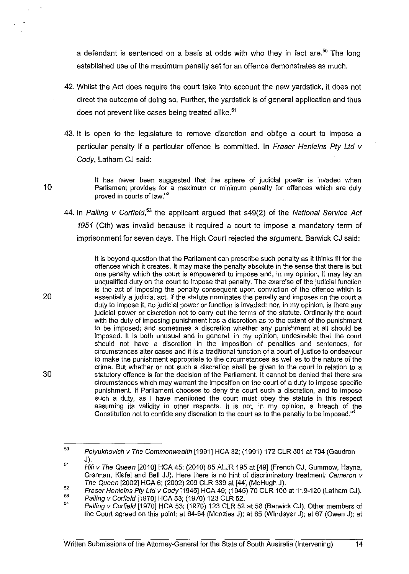a defendant is sentenced on a basis at odds with who they in fact are.<sup>50</sup> The long established use of the maximum penalty set for an offence demonstrates as much.

- 42. Whilst the Act does require the court take into account the new yardstick, it does not direct the outcome of doing so. Further, the yardstick is of general application and thus does not prevent like cases being treated alike.<sup>51</sup>
- 43. It is open to the legislature to remove discretion and oblige a court to impose a particular penalty if a particular offence is committed. In Fraser Henleins Pty Ltd v Cody, Latham CJ said:

10

20

30

It has never been suggested that the sphere of judicial power is invaded when Parliament provides for a maximum or minimum penalty for offences which are duly proved in courts of law.<sup>52</sup>

44. In Palling v Corfield,<sup>53</sup> the applicant argued that  $s49(2)$  of the National Service Act 1951 (Cth) was invalid because it required a court to impose a mandatory term of imprisonment for seven days. The High Court rejected the argument. Barwick CJ said:

It is beyond question that the Parliament can prescribe such penalty as it thinks fit for the offences which it creates. It may make the penalty absolute in the sense that there is but one penalty which the court is empowered to impose and, in my opinion, it may lay an unqualified duty on the court to impose that penalty. The exercise of the judicial function is the act of imposing the penalty consequent upon conviction of the offence which is essentially a judicial act. If the statute nominates the penalty and imposes on the court a duty to impose it, no judicial power or function is invaded: nor, in my opinion, is there any judicial power or discretion not to carry out the terms of the statute. Ordinarily the court with the duty of imposing punishment has a discretion as to the extent of the punishment to be imposed; and sometimes a discretion whether any punishment at all should be imposed. It is both unusual and in general, in my opinion, undesirable that the court should not have a discretion in the imposition of penalties and sentences, for circumstances alter cases and it is a traditional function of a court of justice to endeavour to make the punishment appropriate to the circumstances as well as to the nature of the crime. But whether or not such a discretion shall be given to the court in relation to a statutory offence is for the decision of the Parliament. It cannot be denied that there are circumstances which may warrant the imposition on the court of a duty to impose specific punishment. If Parliament chooses to deny the court such a discretion, and to impose such a duty, as I have mentioned the court must obey the statute in this respect assuming its validity in other respects. It is not, in my opinion, a breach of the Constitution not to confide any discretion to the court as to the penalty to be imposed.<sup>54</sup>

<sup>50</sup>  51 Po/yukhovich v The Commonwealth [1991] HCA 32; (1991) 172 CLR 501 at 704 (Gaudron J).

Hili v The Queen [2010] HCA 45; (2010) 85 ALJR 195 at [49] (French CJ, Gummow, Hayne, Crennan, Kiefel and Bell JJ). Here there is no hint of discriminatory treatment; Cameron v The Queen [2002] HCA 6; (2002) 209 CLR 339 at [44] (McHugh J).

<sup>52</sup>  53 Fraser Hen/eins Ply Lld v Cody [1945] HCA 49; (1945) 70 CLR 100 at 119-120 (Latham CJ).

Palling v Corfie/d [1970] HCA 53; (1970) 123 CLR 52.

<sup>54</sup>  Palling v Corfield [1970] HCA 53; (1970) 123 CLR 52 at 58 (Barwick CJ). Other members of the Court agreed on this point: at 64-64 (Menzies J); at 65 (Windeyer J); at 67 (Owen J); at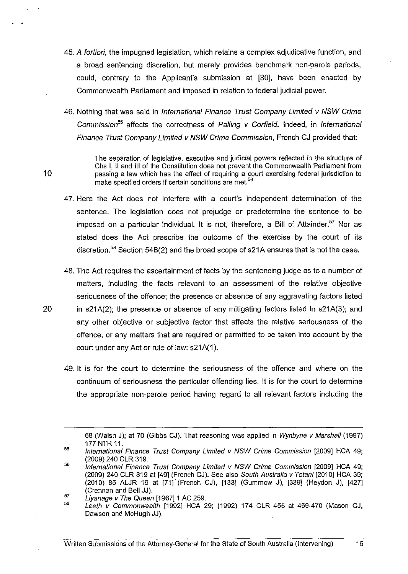- 45. A fortiori, the impugned legislation, which retains a complex adjudicative function, and a broad sentencing discretion, but merely provides benchmark non-parole periods, could, contrary to the Applicant's submission at [30], have been enacted by Commonwealth Parliament and imposed in relation to federal judicial power.
- 46. Nothing that was said in International Finance Trust Company Limited v NSW Crime Commission*<sup>55</sup>*affects the correctness of Palling v Corfield. Indeed, in International Finance Trust Company Limited v NSW Crime Commission, French CJ provided that:

The separation of legislative, executive and judicial powers reflected in the structure of Chs I, 11 and III of the Constitution does not prevent the Commonwealth Parliament from passing a law which has the effect of requiring a court exercising federal jurisdiction to make specified orders if certain conditions are met.<sup>56</sup>

- 47. Here the Act does not interfere with a court's independent determination of the sentence. The legislation does not prejudge or predetermine the sentence to be imposed on a particular individual. It is not, therefore, a Bill of Attainder.<sup>57</sup> Nor as stated does the Act prescribe the outcome of the exercise by the court of its discretion.<sup>58</sup> Section 54B(2) and the broad scope of s21A ensures that is not the case.
- 48. The Act requires the ascertainment of facts by the sentencing judge as to a number of matters, including the facts relevant to an assessment of the relative objective seriousness of the offence; the presence or absence of any aggravating factors listed 20 in s21A(2); the presence or absence of any mitigating factors listed in s21A(3); and any other objective or subjective factor that affects the relative seriousness of the
	- offence, or any matters that are required or permitted to be taken into account by the court under any Act or rule of law: s21A(1).
	- 49. It is for the court to determine the seriousness of the offence and where on the continuum of seriousness the particular offending lies. It is for the court to determine the appropriate non-parole period having regard to all relevant factors including the

- 56 International Finance Trust Company Limited v NSW Crime Commission [2009] HCA 49; (2009) 240 CLR 319 at [49] (French CJ). See also South Australia v Totani [2010] HCA 39; (2010) 85 ALJR 19 at [71j(French CJ), [133] (Gummow J), [339] (Heydon J), [427] (Crennan and Bell JJ).
- 57 Liyanage v The Queen [1967] 1 AC 259.

10

56 Leeth v Commonwealth [1992] HCA 29; (1992) 174 CLR 455 at 469-470 (Mason CJ, Dawson and McHugh JJ).

<sup>68 (</sup>Walsh J); at 70 (Gibbs CJ). That reasoning was applied in Wynbyne v Marshal! (1997) 177 NTR 11.

<sup>55</sup>  International Finance Trust Company Limited v NSW Crime Commission [2009] HCA 49; (2009) 240 CLR 319.